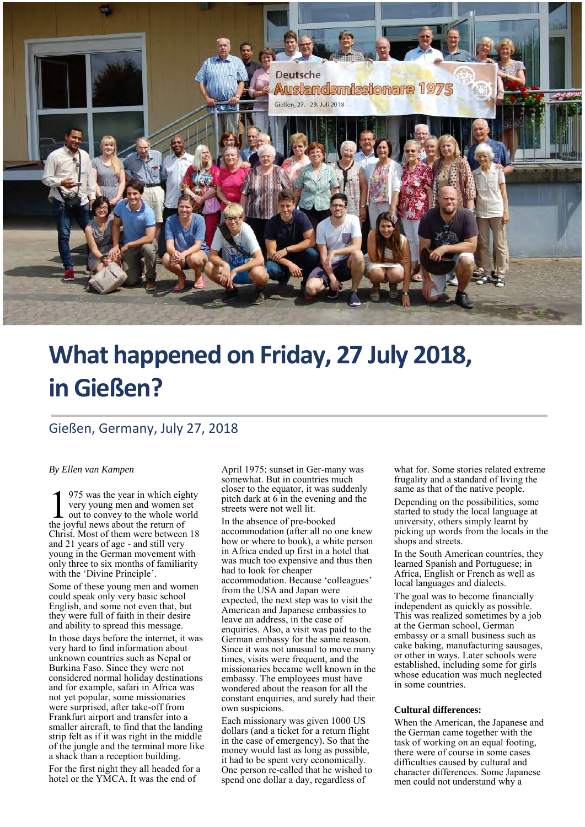

# **What happened on Friday, 27 July 2018, in Gießen?**

## Gießen, Germany, July 27, 2018

#### *By Ellen van Kampen*

975 was the year in which eighty very young men and women set out to convey to the whole world 1975 was the year in which eight<br>very young men and women s<br>the joyful news about the return of Christ. Most of them were between 18 and 21 years of age - and still very young in the German movement with only three to six months of familiarity with the 'Divine Principle'.

Some of these young men and women could speak only very basic school English, and some not even that, but they were full of faith in their desire and ability to spread this message.

In those days before the internet, it was very hard to find information about unknown countries such as Nepal or Burkina Faso. Since they were not considered normal holiday destinations and for example, safari in Africa was not yet popular, some missionaries were surprised, after take-off from Frankfurt airport and transfer into a smaller aircraft, to find that the landing strip felt as if it was right in the middle of the jungle and the terminal more like a shack than a reception building.

For the first night they all headed for a hotel or the YMCA. It was the end of

April 1975; sunset in Ger-many was somewhat. But in countries much closer to the equator, it was suddenly pitch dark at 6 in the evening and the streets were not well lit.

In the absence of pre-booked accommodation (after all no one knew how or where to book), a white person in Africa ended up first in a hotel that was much too expensive and thus then had to look for cheaper accommodation. Because 'colleagues' from the USA and Japan were expected, the next step was to visit the American and Japanese embassies to leave an address, in the case of enquiries. Also, a visit was paid to the German embassy for the same reason. Since it was not unusual to move many times, visits were frequent, and the missionaries became well known in the embassy. The employees must have wondered about the reason for all the constant enquiries, and surely had their own suspicions.

Each missionary was given 1000 US dollars (and a ticket for a return flight in the case of emergency). So that the money would last as long as possible, it had to be spent very economically. One person re-called that he wished to spend one dollar a day, regardless of

what for. Some stories related extreme frugality and a standard of living the same as that of the native people.

Depending on the possibilities, some started to study the local language at university, others simply learnt by picking up words from the locals in the shops and streets.

In the South American countries, they learned Spanish and Portuguese; in Africa, English or French as well as local languages and dialects.

The goal was to become financially independent as quickly as possible. This was realized sometimes by a job at the German school, German embassy or a small business such as cake baking, manufacturing sausages, or other in ways. Later schools were established, including some for girls whose education was much neglected in some countries.

#### **Cultural differences:**

When the American, the Japanese and the German came together with the task of working on an equal footing, there were of course in some cases difficulties caused by cultural and character differences. Some Japanese men could not understand why a